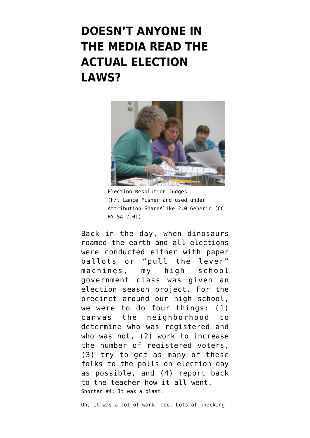## **[DOESN'T ANYONE IN](https://www.emptywheel.net/2020/10/28/doesnt-anyone-in-the-media-read-the-actual-election-laws/) [THE MEDIA READ THE](https://www.emptywheel.net/2020/10/28/doesnt-anyone-in-the-media-read-the-actual-election-laws/) [ACTUAL ELECTION](https://www.emptywheel.net/2020/10/28/doesnt-anyone-in-the-media-read-the-actual-election-laws/) [LAWS?](https://www.emptywheel.net/2020/10/28/doesnt-anyone-in-the-media-read-the-actual-election-laws/)**



Election Resolution Judges (h/t [Lance Fisher](https://www.flickr.com/photos/lancefisher/292527255/in/photolist-rRhan-DwHSbg-21n5dC1-w4hxcC-N4bX4r-pqLiXE-bt24XP-cjHTJu-jvWsLU-2ihAN4F-2ihBTi2-2ihBMu8-2ihAJBf-2ihAHSe-2ihAKof-QAEWUq-2ihAGxL-2ihAPQm-2ihAJeB-2ihAHu5-2ihAMhq-Qx3eyT-521iyP-2ihymhg-2ihyixd-5zt7eS-S8k71Z-2ihAPvd-2ihBSbN-2ihBRWE-RDYo9D-9DMYvH-k2BFr-QdD1wt-9DTexr-ciSwgE-9DTexB-a7gnoB-mBc4s-BaGwqh-k1FHV-rijSgN-CKrXHN-9DTeAt-9DMYvT-9DQVcq-7xudmw-2tEs2S-9DTeAp-9DVBkG) and used under Attribution-ShareAlike 2.0 Generic [CC BY-SA 2.0])

Back in the day, when dinosaurs roamed the earth and all elections were conducted either with paper ballots or "pull the lever" machines, my high school government class was given an election season project. For the precinct around our high school, we were to do four things: (1) canvas the neighborhood to determine who was registered and who was not, (2) work to increase the number of registered voters, (3) try to get as many of these folks to the polls on election day as possible, and (4) report back to the teacher how it all went. Shorter #4: It was a blast.

Oh, it was a lot of work, too. Lots of knocking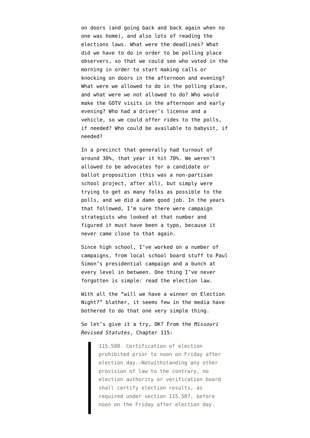on doors (and going back and back again when no one was home), and also lots of reading the elections laws. What were the deadlines? What did we have to do in order to be polling place observers, so that we could see who voted in the morning in order to start making calls or knocking on doors in the afternoon and evening? What were we allowed to do in the polling place, and what were we not allowed to do? Who would make the GOTV visits in the afternoon and early evening? Who had a driver's license and a vehicle, so we could offer rides to the polls, if needed? Who could be available to babysit, if needed?

In a precinct that generally had turnout of around 30%, that year it hit 70%. We weren't allowed to be advocates for a candidate or ballot proposition (this was a non-partisan school project, after all), but simply were trying to get as many folks as possible to the polls, and we did a damn good job. In the years that followed, I'm sure there were campaign strategists who looked at that number and figured it must have been a typo, because it never came close to that again.

Since high school, I've worked on a number of campaigns, from local school board stuff to Paul Simon's presidential campaign and a bunch at every level in between. One thing I've never forgotten is simple: read the election law.

With all the "will we have a winner on Election Night?" blather, it seems few in the media have bothered to do that one very simple thing.

So let's give it a try, OK? From the *[Missouri](https://www.sos.mo.gov/CMSImages/ElectionGoVoteMissouri//2019ElectionLaws_08.2019.pdf) [Revised Statutes](https://www.sos.mo.gov/CMSImages/ElectionGoVoteMissouri//2019ElectionLaws_08.2019.pdf)*, Chapter 115:

> 115.508. Certification of election prohibited prior to noon on Friday after election day.—Notwithstanding any other provision of law to the contrary, no election authority or verification board shall certify election results, as required under section 115.507, before noon on the Friday after election day.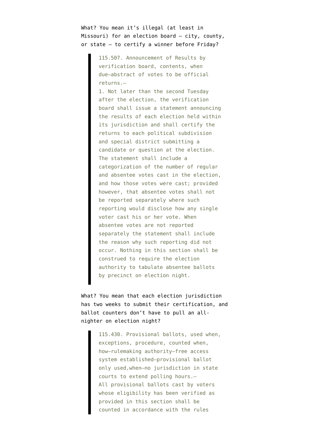What? You mean it's illegal (at least in Missouri) for an election board – city, county, or state – to certify a winner before Friday?

> 115.507. Announcement of Results by verification board, contents, when due—abstract of votes to be official returns.—

1. Not later than the second Tuesday after the election, the verification board shall issue a statement announcing the results of each election held within its jurisdiction and shall certify the returns to each political subdivision and special district submitting a candidate or question at the election. The statement shall include a categorization of the number of regular and absentee votes cast in the election, and how those votes were cast; provided however, that absentee votes shall not be reported separately where such reporting would disclose how any single voter cast his or her vote. When absentee votes are not reported separately the statement shall include the reason why such reporting did not occur. Nothing in this section shall be construed to require the election authority to tabulate absentee ballots by precinct on election night.

What? You mean that each election jurisdiction has two weeks to submit their certification, and ballot counters don't have to pull an allnighter on election night?

> 115.430. Provisional ballots, used when, exceptions, procedure, counted when, how—rulemaking authority—free access system established—provisional ballot only used,when—no jurisdiction in state courts to extend polling hours.— All provisional ballots cast by voters whose eligibility has been verified as provided in this section shall be counted in accordance with the rules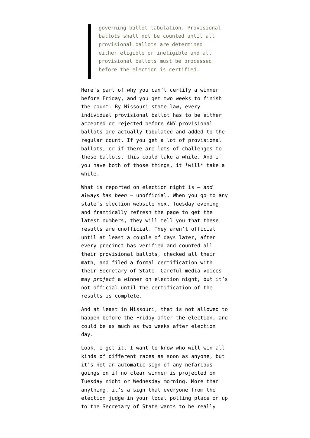governing ballot tabulation. Provisional ballots shall not be counted until all provisional ballots are determined either eligible or ineligible and all provisional ballots must be processed before the election is certified.

Here's part of why you can't certify a winner before Friday, and you get two weeks to finish the count. By Missouri state law, every individual provisional ballot has to be either accepted or rejected before ANY provisional ballots are actually tabulated and added to the regular count. If you get a lot of provisional ballots, or if there are lots of challenges to these ballots, this could take a while. And if you have both of those things, it \*will\* take a while.

What is reported on election night is — *and always has been* — unofficial. When you go to any state's election website next Tuesday evening and frantically refresh the page to get the latest numbers, they will tell you that these results are unofficial. They aren't official until at least a couple of days later, after every precinct has verified and counted all their provisional ballots, checked all their math, and filed a formal certification with their Secretary of State. Careful media voices may *project* a winner on election night, but it's not official until the certification of the results is complete.

And at least in Missouri, that is not allowed to happen before the Friday after the election, and could be as much as two weeks after election day.

Look, I get it. I want to know who will win all kinds of different races as soon as anyone, but it's not an automatic sign of any nefarious goings on if no clear winner is projected on Tuesday night or Wednesday morning. More than anything, it's a sign that everyone from the election judge in your local polling place on up to the Secretary of State wants to be really